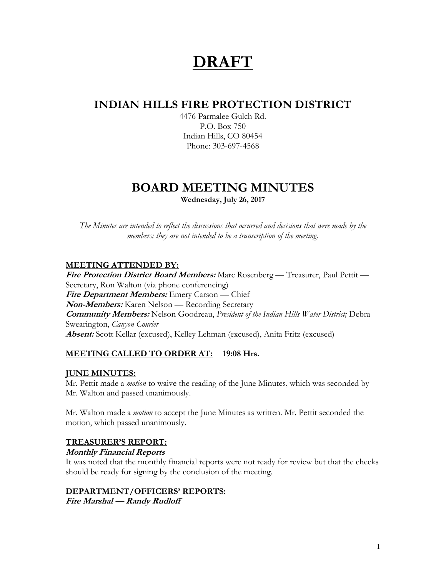# **DRAFT**

# **INDIAN HILLS FIRE PROTECTION DISTRICT**

4476 Parmalee Gulch Rd. P.O. Box 750 Indian Hills, CO 80454 Phone: 303-697-4568

# **BOARD MEETING MINUTES**

**Wednesday, July 26, 2017**

*The Minutes are intended to reflect the discussions that occurred and decisions that were made by the members; they are not intended to be a transcription of the meeting.*

# **MEETING ATTENDED BY:**

**Fire Protection District Board Members:** Marc Rosenberg — Treasurer, Paul Pettit — Secretary, Ron Walton (via phone conferencing) **Fire Department Members:** Emery Carson — Chief **Non-Members:** Karen Nelson — Recording Secretary **Community Members:** Nelson Goodreau, *President of the Indian Hills Water District;* Debra Swearington, *Canyon Courier* **Absent:** Scott Kellar (excused), Kelley Lehman (excused), Anita Fritz (excused)

# **MEETING CALLED TO ORDER AT: 19:08 Hrs.**

## **JUNE MINUTES:**

Mr. Pettit made a *motion* to waive the reading of the June Minutes, which was seconded by Mr. Walton and passed unanimously.

Mr. Walton made a *motion* to accept the June Minutes as written. Mr. Pettit seconded the motion, which passed unanimously.

## **TREASURER'S REPORT:**

#### **Monthly Financial Reports**

It was noted that the monthly financial reports were not ready for review but that the checks should be ready for signing by the conclusion of the meeting.

#### **DEPARTMENT/OFFICERS' REPORTS:**

**Fire Marshal — Randy Rudloff**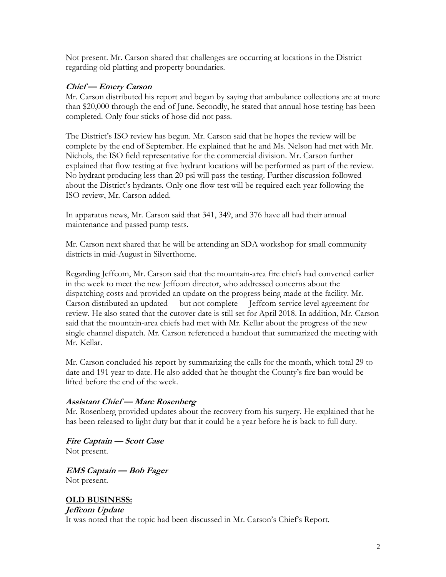Not present. Mr. Carson shared that challenges are occurring at locations in the District regarding old platting and property boundaries.

#### **Chief — Emery Carson**

Mr. Carson distributed his report and began by saying that ambulance collections are at more than \$20,000 through the end of June. Secondly, he stated that annual hose testing has been completed. Only four sticks of hose did not pass.

The District's ISO review has begun. Mr. Carson said that he hopes the review will be complete by the end of September. He explained that he and Ms. Nelson had met with Mr. Nichols, the ISO field representative for the commercial division. Mr. Carson further explained that flow testing at five hydrant locations will be performed as part of the review. No hydrant producing less than 20 psi will pass the testing. Further discussion followed about the District's hydrants. Only one flow test will be required each year following the ISO review, Mr. Carson added.

In apparatus news, Mr. Carson said that 341, 349, and 376 have all had their annual maintenance and passed pump tests.

Mr. Carson next shared that he will be attending an SDA workshop for small community districts in mid-August in Silverthorne.

Regarding Jeffcom, Mr. Carson said that the mountain-area fire chiefs had convened earlier in the week to meet the new Jeffcom director, who addressed concerns about the dispatching costs and provided an update on the progress being made at the facility. Mr. Carson distributed an updated — but not complete — Jeffcom service level agreement for review. He also stated that the cutover date is still set for April 2018. In addition, Mr. Carson said that the mountain-area chiefs had met with Mr. Kellar about the progress of the new single channel dispatch. Mr. Carson referenced a handout that summarized the meeting with Mr. Kellar.

Mr. Carson concluded his report by summarizing the calls for the month, which total 29 to date and 191 year to date. He also added that he thought the County's fire ban would be lifted before the end of the week.

#### **Assistant Chief — Marc Rosenberg**

Mr. Rosenberg provided updates about the recovery from his surgery. He explained that he has been released to light duty but that it could be a year before he is back to full duty.

**Fire Captain — Scott Case** Not present.

**EMS Captain — Bob Fager** Not present.

**OLD BUSINESS: Jeffcom Update** It was noted that the topic had been discussed in Mr. Carson's Chief's Report.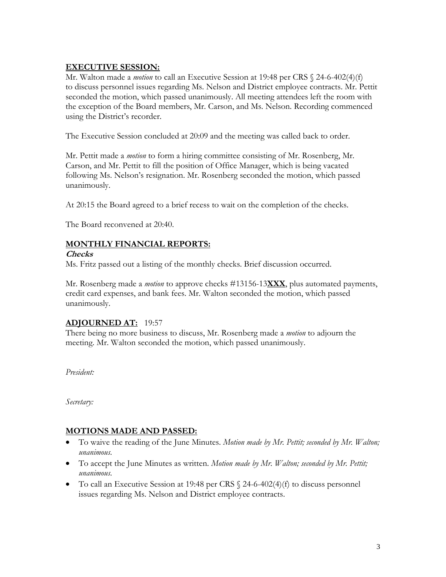#### **EXECUTIVE SESSION:**

Mr. Walton made a *motion* to call an Executive Session at 19:48 per CRS § 24-6-402(4)(f) to discuss personnel issues regarding Ms. Nelson and District employee contracts. Mr. Pettit seconded the motion, which passed unanimously. All meeting attendees left the room with the exception of the Board members, Mr. Carson, and Ms. Nelson. Recording commenced using the District's recorder.

The Executive Session concluded at 20:09 and the meeting was called back to order.

Mr. Pettit made a *motion* to form a hiring committee consisting of Mr. Rosenberg, Mr. Carson, and Mr. Pettit to fill the position of Office Manager, which is being vacated following Ms. Nelson's resignation. Mr. Rosenberg seconded the motion, which passed unanimously.

At 20:15 the Board agreed to a brief recess to wait on the completion of the checks.

The Board reconvened at 20:40.

#### **MONTHLY FINANCIAL REPORTS:**

#### **Checks**

Ms. Fritz passed out a listing of the monthly checks. Brief discussion occurred.

Mr. Rosenberg made a *motion* to approve checks #13156-13**XXX**, plus automated payments, credit card expenses, and bank fees. Mr. Walton seconded the motion, which passed unanimously.

## **ADJOURNED AT:** 19:57

There being no more business to discuss, Mr. Rosenberg made a *motion* to adjourn the meeting. Mr. Walton seconded the motion, which passed unanimously.

*President:*

*Secretary:*

#### **MOTIONS MADE AND PASSED:**

- To waive the reading of the June Minutes. *Motion made by Mr. Pettit; seconded by Mr. Walton; unanimous.*
- To accept the June Minutes as written. *Motion made by Mr. Walton; seconded by Mr. Pettit; unanimous.*
- To call an Executive Session at 19:48 per CRS  $\frac{24-6-402(4)}{f}$  to discuss personnel issues regarding Ms. Nelson and District employee contracts.